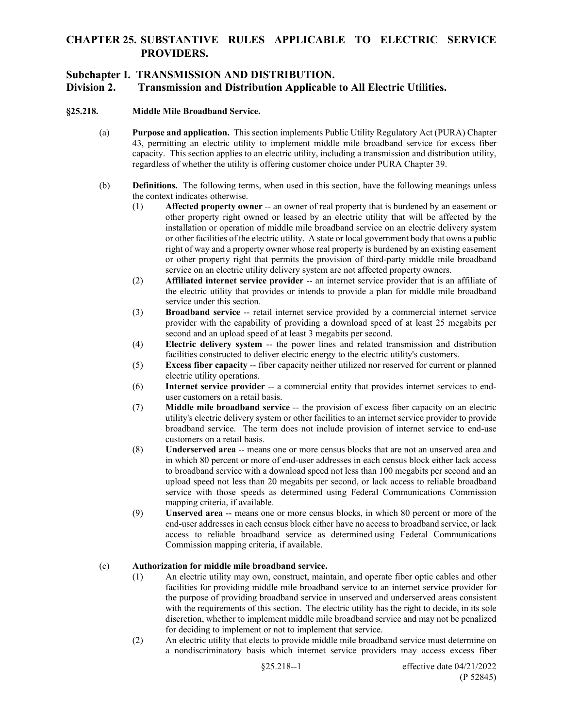## **Subchapter I. TRANSMISSION AND DISTRIBUTION.**

## **Division 2. Transmission and Distribution Applicable to All Electric Utilities.**

### **§25.218. Middle Mile Broadband Service.**

- (a) **Purpose and application.** This section implements Public Utility Regulatory Act (PURA) Chapter 43, permitting an electric utility to implement middle mile broadband service for excess fiber capacity. This section applies to an electric utility, including a transmission and distribution utility, regardless of whether the utility is offering customer choice under PURA Chapter 39.
- (b) **Definitions.** The following terms, when used in this section, have the following meanings unless the context indicates otherwise.
	- (1) **Affected property owner** -- an owner of real property that is burdened by an easement or other property right owned or leased by an electric utility that will be affected by the installation or operation of middle mile broadband service on an electric delivery system or other facilities of the electric utility. A state or local government body that owns a public right of way and a property owner whose real property is burdened by an existing easement or other property right that permits the provision of third-party middle mile broadband service on an electric utility delivery system are not affected property owners.
	- (2) **Affiliated internet service provider** -- an internet service provider that is an affiliate of the electric utility that provides or intends to provide a plan for middle mile broadband service under this section.
	- (3) **Broadband service** -- retail internet service provided by a commercial internet service provider with the capability of providing a download speed of at least 25 megabits per second and an upload speed of at least 3 megabits per second.
	- (4) **Electric delivery system** -- the power lines and related transmission and distribution facilities constructed to deliver electric energy to the electric utility's customers.
	- (5) **Excess fiber capacity** -- fiber capacity neither utilized nor reserved for current or planned electric utility operations.
	- (6) **Internet service provider** -- a commercial entity that provides internet services to enduser customers on a retail basis.
	- (7) **Middle mile broadband service** -- the provision of excess fiber capacity on an electric utility's electric delivery system or other facilities to an internet service provider to provide broadband service. The term does not include provision of internet service to end-use customers on a retail basis.
	- (8) **Underserved area** -- means one or more census blocks that are not an unserved area and in which 80 percent or more of end-user addresses in each census block either lack access to broadband service with a download speed not less than 100 megabits per second and an upload speed not less than 20 megabits per second, or lack access to reliable broadband service with those speeds as determined using Federal Communications Commission mapping criteria, if available.
	- (9) **Unserved area** -- means one or more census blocks, in which 80 percent or more of the end-user addresses in each census block either have no access to broadband service, or lack access to reliable broadband service as determined using Federal Communications Commission mapping criteria, if available.

### (c) **Authorization for middle mile broadband service.**

- (1) An electric utility may own, construct, maintain, and operate fiber optic cables and other facilities for providing middle mile broadband service to an internet service provider for the purpose of providing broadband service in unserved and underserved areas consistent with the requirements of this section. The electric utility has the right to decide, in its sole discretion, whether to implement middle mile broadband service and may not be penalized for deciding to implement or not to implement that service.
- (2) An electric utility that elects to provide middle mile broadband service must determine on a nondiscriminatory basis which internet service providers may access excess fiber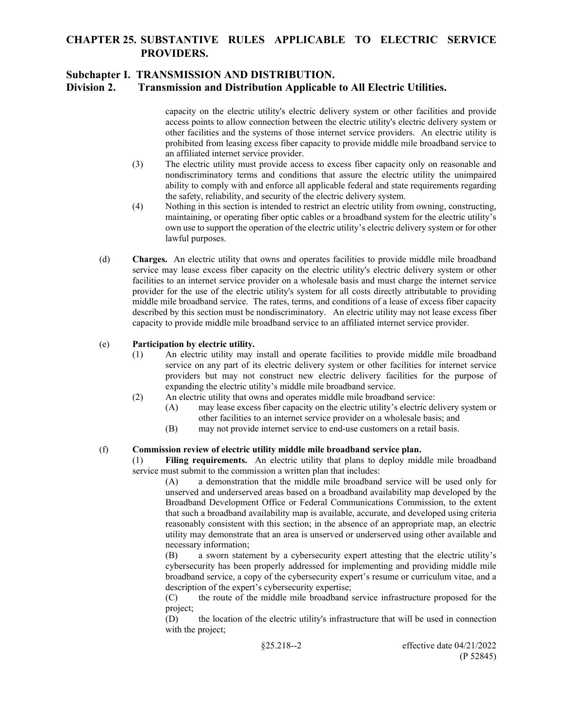## **Subchapter I. TRANSMISSION AND DISTRIBUTION.**

## **Division 2. Transmission and Distribution Applicable to All Electric Utilities.**

capacity on the electric utility's electric delivery system or other facilities and provide access points to allow connection between the electric utility's electric delivery system or other facilities and the systems of those internet service providers. An electric utility is prohibited from leasing excess fiber capacity to provide middle mile broadband service to an affiliated internet service provider.

- (3) The electric utility must provide access to excess fiber capacity only on reasonable and nondiscriminatory terms and conditions that assure the electric utility the unimpaired ability to comply with and enforce all applicable federal and state requirements regarding the safety, reliability, and security of the electric delivery system.
- (4) Nothing in this section is intended to restrict an electric utility from owning, constructing, maintaining, or operating fiber optic cables or a broadband system for the electric utility's own use to support the operation of the electric utility's electric delivery system or for other lawful purposes.
- (d) **Charges.** An electric utility that owns and operates facilities to provide middle mile broadband service may lease excess fiber capacity on the electric utility's electric delivery system or other facilities to an internet service provider on a wholesale basis and must charge the internet service provider for the use of the electric utility's system for all costs directly attributable to providing middle mile broadband service. The rates, terms, and conditions of a lease of excess fiber capacity described by this section must be nondiscriminatory. An electric utility may not lease excess fiber capacity to provide middle mile broadband service to an affiliated internet service provider.

### (e) **Participation by electric utility.**

- (1) An electric utility may install and operate facilities to provide middle mile broadband service on any part of its electric delivery system or other facilities for internet service providers but may not construct new electric delivery facilities for the purpose of expanding the electric utility's middle mile broadband service.
- (2) An electric utility that owns and operates middle mile broadband service:
	- (A) may lease excess fiber capacity on the electric utility's electric delivery system or other facilities to an internet service provider on a wholesale basis; and
	- (B) may not provide internet service to end-use customers on a retail basis.

### (f) **Commission review of electric utility middle mile broadband service plan.**

Filing requirements. An electric utility that plans to deploy middle mile broadband service must submit to the commission a written plan that includes:

(A) a demonstration that the middle mile broadband service will be used only for unserved and underserved areas based on a broadband availability map developed by the Broadband Development Office or Federal Communications Commission, to the extent that such a broadband availability map is available, accurate, and developed using criteria reasonably consistent with this section; in the absence of an appropriate map, an electric utility may demonstrate that an area is unserved or underserved using other available and necessary information;

(B) a sworn statement by a cybersecurity expert attesting that the electric utility's cybersecurity has been properly addressed for implementing and providing middle mile broadband service, a copy of the cybersecurity expert's resume or curriculum vitae, and a description of the expert's cybersecurity expertise;

(C) the route of the middle mile broadband service infrastructure proposed for the project;

(D) the location of the electric utility's infrastructure that will be used in connection with the project;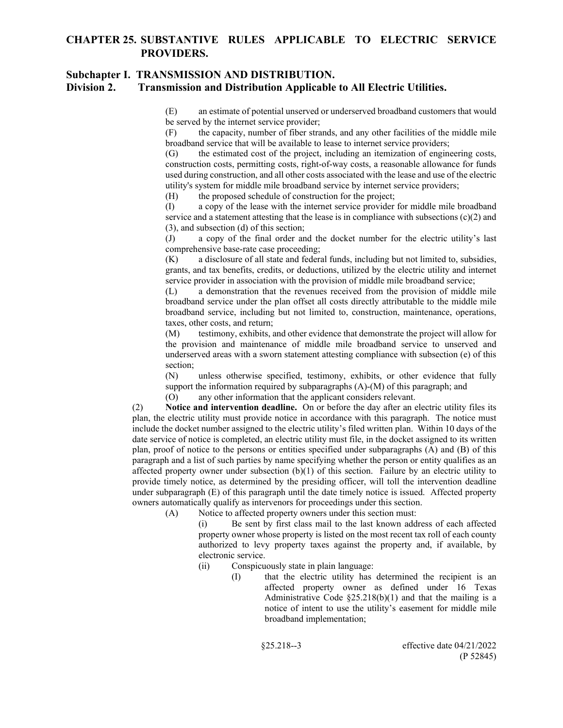## **Subchapter I. TRANSMISSION AND DISTRIBUTION.**

### **Division 2. Transmission and Distribution Applicable to All Electric Utilities.**

(E) an estimate of potential unserved or underserved broadband customers that would be served by the internet service provider;

(F) the capacity, number of fiber strands, and any other facilities of the middle mile broadband service that will be available to lease to internet service providers;

(G) the estimated cost of the project, including an itemization of engineering costs, construction costs, permitting costs, right-of-way costs, a reasonable allowance for funds used during construction, and all other costs associated with the lease and use of the electric utility's system for middle mile broadband service by internet service providers;

(H) the proposed schedule of construction for the project;

(I) a copy of the lease with the internet service provider for middle mile broadband service and a statement attesting that the lease is in compliance with subsections  $(c)(2)$  and (3), and subsection (d) of this section;

(J) a copy of the final order and the docket number for the electric utility's last comprehensive base-rate case proceeding;

(K) a disclosure of all state and federal funds, including but not limited to, subsidies, grants, and tax benefits, credits, or deductions, utilized by the electric utility and internet service provider in association with the provision of middle mile broadband service;

(L) a demonstration that the revenues received from the provision of middle mile broadband service under the plan offset all costs directly attributable to the middle mile broadband service, including but not limited to, construction, maintenance, operations, taxes, other costs, and return;

(M) testimony, exhibits, and other evidence that demonstrate the project will allow for the provision and maintenance of middle mile broadband service to unserved and underserved areas with a sworn statement attesting compliance with subsection (e) of this section;

(N) unless otherwise specified, testimony, exhibits, or other evidence that fully support the information required by subparagraphs (A)-(M) of this paragraph; and

(O) any other information that the applicant considers relevant.

(2) **Notice and intervention deadline.** On or before the day after an electric utility files its plan, the electric utility must provide notice in accordance with this paragraph. The notice must include the docket number assigned to the electric utility's filed written plan. Within 10 days of the date service of notice is completed, an electric utility must file, in the docket assigned to its written plan, proof of notice to the persons or entities specified under subparagraphs (A) and (B) of this paragraph and a list of such parties by name specifying whether the person or entity qualifies as an affected property owner under subsection (b)(1) of this section. Failure by an electric utility to provide timely notice, as determined by the presiding officer, will toll the intervention deadline under subparagraph (E) of this paragraph until the date timely notice is issued. Affected property owners automatically qualify as intervenors for proceedings under this section.

(A) Notice to affected property owners under this section must:

(i) Be sent by first class mail to the last known address of each affected property owner whose property is listed on the most recent tax roll of each county authorized to levy property taxes against the property and, if available, by electronic service.

- (ii) Conspicuously state in plain language:
	- (I) that the electric utility has determined the recipient is an affected property owner as defined under 16 Texas Administrative Code  $$25.218(b)(1)$  and that the mailing is a notice of intent to use the utility's easement for middle mile broadband implementation;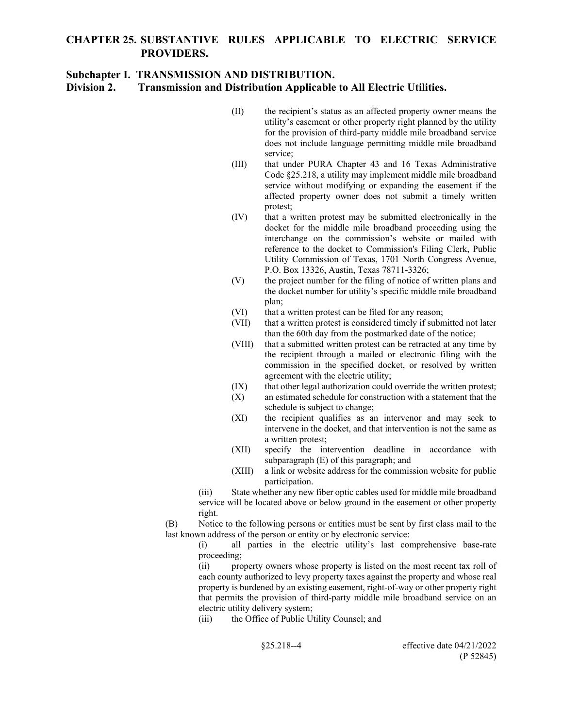## **Subchapter I. TRANSMISSION AND DISTRIBUTION.**

**Division 2. Transmission and Distribution Applicable to All Electric Utilities.**

- (II) the recipient's status as an affected property owner means the utility's easement or other property right planned by the utility for the provision of third-party middle mile broadband service does not include language permitting middle mile broadband service;
- (III) that under PURA Chapter 43 and 16 Texas Administrative Code §25.218, a utility may implement middle mile broadband service without modifying or expanding the easement if the affected property owner does not submit a timely written protest;
- (IV) that a written protest may be submitted electronically in the docket for the middle mile broadband proceeding using the interchange on the commission's website or mailed with reference to the docket to Commission's Filing Clerk, Public Utility Commission of Texas, 1701 North Congress Avenue, P.O. Box 13326, Austin, Texas 78711-3326;
- (V) the project number for the filing of notice of written plans and the docket number for utility's specific middle mile broadband plan;
- (VI) that a written protest can be filed for any reason;
- (VII) that a written protest is considered timely if submitted not later than the 60th day from the postmarked date of the notice;
- (VIII) that a submitted written protest can be retracted at any time by the recipient through a mailed or electronic filing with the commission in the specified docket, or resolved by written agreement with the electric utility;
- (IX) that other legal authorization could override the written protest;
- (X) an estimated schedule for construction with a statement that the schedule is subject to change;
- (XI) the recipient qualifies as an intervenor and may seek to intervene in the docket, and that intervention is not the same as a written protest;
- (XII) specify the intervention deadline in accordance with subparagraph (E) of this paragraph; and
- (XIII) a link or website address for the commission website for public participation.

(iii) State whether any new fiber optic cables used for middle mile broadband service will be located above or below ground in the easement or other property right.

(B) Notice to the following persons or entities must be sent by first class mail to the last known address of the person or entity or by electronic service:

> (i) all parties in the electric utility's last comprehensive base-rate proceeding;

> (ii) property owners whose property is listed on the most recent tax roll of each county authorized to levy property taxes against the property and whose real property is burdened by an existing easement, right-of-way or other property right that permits the provision of third-party middle mile broadband service on an electric utility delivery system;

(iii) the Office of Public Utility Counsel; and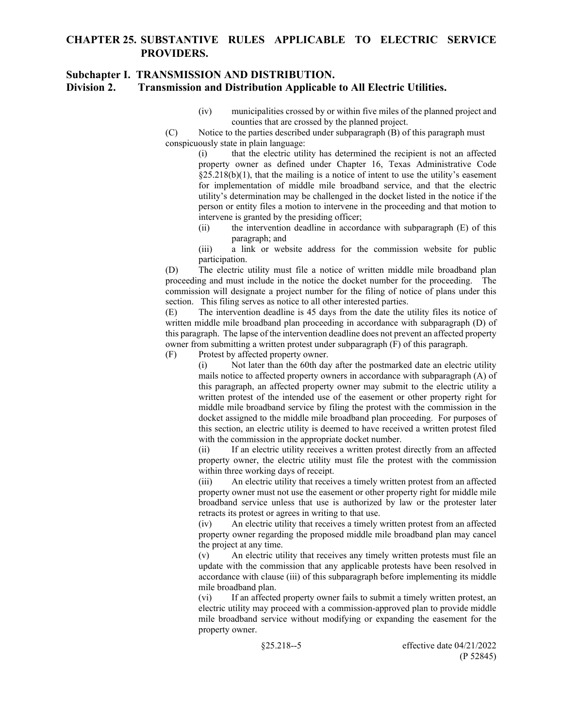## **Subchapter I. TRANSMISSION AND DISTRIBUTION.**

### **Division 2. Transmission and Distribution Applicable to All Electric Utilities.**

- (iv) municipalities crossed by or within five miles of the planned project and counties that are crossed by the planned project.
- (C) Notice to the parties described under subparagraph (B) of this paragraph must conspicuously state in plain language:

(i) that the electric utility has determined the recipient is not an affected property owner as defined under Chapter 16, Texas Administrative Code  $\S25.218(b)(1)$ , that the mailing is a notice of intent to use the utility's easement for implementation of middle mile broadband service, and that the electric utility's determination may be challenged in the docket listed in the notice if the person or entity files a motion to intervene in the proceeding and that motion to intervene is granted by the presiding officer;

(ii) the intervention deadline in accordance with subparagraph (E) of this paragraph; and

(iii) a link or website address for the commission website for public participation.

(D) The electric utility must file a notice of written middle mile broadband plan proceeding and must include in the notice the docket number for the proceeding. The commission will designate a project number for the filing of notice of plans under this section. This filing serves as notice to all other interested parties.

(E) The intervention deadline is 45 days from the date the utility files its notice of written middle mile broadband plan proceeding in accordance with subparagraph (D) of this paragraph. The lapse of the intervention deadline does not prevent an affected property owner from submitting a written protest under subparagraph (F) of this paragraph.

(F) Protest by affected property owner.

(i) Not later than the 60th day after the postmarked date an electric utility mails notice to affected property owners in accordance with subparagraph (A) of this paragraph, an affected property owner may submit to the electric utility a written protest of the intended use of the easement or other property right for middle mile broadband service by filing the protest with the commission in the docket assigned to the middle mile broadband plan proceeding. For purposes of this section, an electric utility is deemed to have received a written protest filed with the commission in the appropriate docket number.

(ii) If an electric utility receives a written protest directly from an affected property owner, the electric utility must file the protest with the commission within three working days of receipt.

(iii) An electric utility that receives a timely written protest from an affected property owner must not use the easement or other property right for middle mile broadband service unless that use is authorized by law or the protester later retracts its protest or agrees in writing to that use.

(iv) An electric utility that receives a timely written protest from an affected property owner regarding the proposed middle mile broadband plan may cancel the project at any time.

(v) An electric utility that receives any timely written protests must file an update with the commission that any applicable protests have been resolved in accordance with clause (iii) of this subparagraph before implementing its middle mile broadband plan.

(vi) If an affected property owner fails to submit a timely written protest, an electric utility may proceed with a commission-approved plan to provide middle mile broadband service without modifying or expanding the easement for the property owner.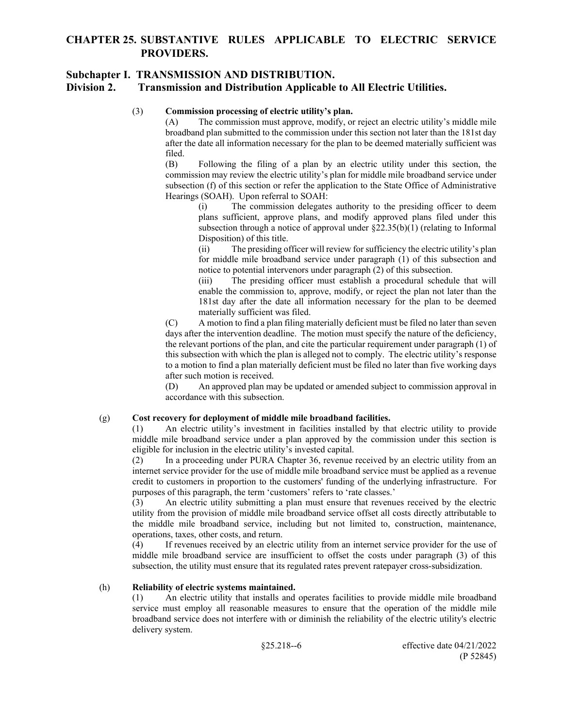## **Subchapter I. TRANSMISSION AND DISTRIBUTION. Division 2. Transmission and Distribution Applicable to All Electric Utilities.**

(3) **Commission processing of electric utility's plan.** 

The commission must approve, modify, or reject an electric utility's middle mile broadband plan submitted to the commission under this section not later than the 181st day after the date all information necessary for the plan to be deemed materially sufficient was filed.

(B) Following the filing of a plan by an electric utility under this section, the commission may review the electric utility's plan for middle mile broadband service under subsection (f) of this section or refer the application to the State Office of Administrative Hearings (SOAH). Upon referral to SOAH:

(i) The commission delegates authority to the presiding officer to deem plans sufficient, approve plans, and modify approved plans filed under this subsection through a notice of approval under  $\S22.35(b)(1)$  (relating to Informal Disposition) of this title.

(ii) The presiding officer will review for sufficiency the electric utility's plan for middle mile broadband service under paragraph (1) of this subsection and notice to potential intervenors under paragraph (2) of this subsection.

(iii) The presiding officer must establish a procedural schedule that will enable the commission to, approve, modify, or reject the plan not later than the 181st day after the date all information necessary for the plan to be deemed materially sufficient was filed.

(C) A motion to find a plan filing materially deficient must be filed no later than seven days after the intervention deadline. The motion must specify the nature of the deficiency, the relevant portions of the plan, and cite the particular requirement under paragraph (1) of this subsection with which the plan is alleged not to comply. The electric utility's response to a motion to find a plan materially deficient must be filed no later than five working days after such motion is received.

(D) An approved plan may be updated or amended subject to commission approval in accordance with this subsection.

### (g) **Cost recovery for deployment of middle mile broadband facilities.**

(1) An electric utility's investment in facilities installed by that electric utility to provide middle mile broadband service under a plan approved by the commission under this section is eligible for inclusion in the electric utility's invested capital.

(2) In a proceeding under PURA Chapter 36, revenue received by an electric utility from an internet service provider for the use of middle mile broadband service must be applied as a revenue credit to customers in proportion to the customers' funding of the underlying infrastructure. For purposes of this paragraph, the term 'customers' refers to 'rate classes.'

(3) An electric utility submitting a plan must ensure that revenues received by the electric utility from the provision of middle mile broadband service offset all costs directly attributable to the middle mile broadband service, including but not limited to, construction, maintenance, operations, taxes, other costs, and return.

(4) If revenues received by an electric utility from an internet service provider for the use of middle mile broadband service are insufficient to offset the costs under paragraph (3) of this subsection, the utility must ensure that its regulated rates prevent ratepayer cross-subsidization.

### (h) **Reliability of electric systems maintained.**

(1) An electric utility that installs and operates facilities to provide middle mile broadband service must employ all reasonable measures to ensure that the operation of the middle mile broadband service does not interfere with or diminish the reliability of the electric utility's electric delivery system.